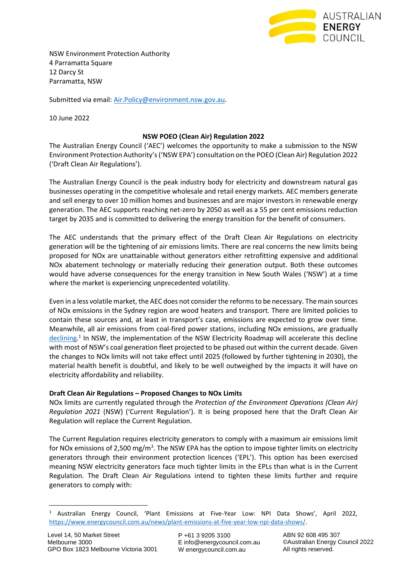

NSW Environment Protection Authority 4 Parramatta Square 12 Darcy St Parramatta, NSW

Submitted via email: [Air.Policy@environment.nsw.gov.au.](mailto:Air.Policy@environment.nsw.gov.au)

10 June 2022

## **NSW POEO (Clean Air) Regulation 2022**

The Australian Energy Council ('AEC') welcomes the opportunity to make a submission to the NSW Environment Protection Authority's ('NSW EPA') consultation on the POEO (Clean Air) Regulation 2022 ('Draft Clean Air Regulations').

The Australian Energy Council is the peak industry body for electricity and downstream natural gas businesses operating in the competitive wholesale and retail energy markets. AEC members generate and sell energy to over 10 million homes and businesses and are major investors in renewable energy generation. The AEC supports reaching net-zero by 2050 as well as a 55 per cent emissions reduction target by 2035 and is committed to delivering the energy transition for the benefit of consumers.

The AEC understands that the primary effect of the Draft Clean Air Regulations on electricity generation will be the tightening of air emissions limits. There are real concerns the new limits being proposed for NOx are unattainable without generators either retrofitting expensive and additional NOx abatement technology or materially reducing their generation output. Both these outcomes would have adverse consequences for the energy transition in New South Wales ('NSW') at a time where the market is experiencing unprecedented volatility.

Even in a less volatile market, the AEC does not consider the reforms to be necessary. The main sources of NOx emissions in the Sydney region are wood heaters and transport. There are limited policies to contain these sources and, at least in transport's case, emissions are expected to grow over time. Meanwhile, all air emissions from coal-fired power stations, including NOx emissions, are gradually [declining.](https://www.energycouncil.com.au/news/plant-emissions-at-five-year-low-npi-data-shows/)<sup>1</sup> In NSW, the implementation of the NSW Electricity Roadmap will accelerate this decline with most of NSW's coal generation fleet projected to be phased out within the current decade. Given the changes to NOx limits will not take effect until 2025 (followed by further tightening in 2030), the material health benefit is doubtful, and likely to be well outweighed by the impacts it will have on electricity affordability and reliability.

### **Draft Clean Air Regulations – Proposed Changes to NOx Limits**

NOx limits are currently regulated through the *Protection of the Environment Operations (Clean Air) Regulation 2021* (NSW) ('Current Regulation'). It is being proposed here that the Draft Clean Air Regulation will replace the Current Regulation.

The Current Regulation requires electricity generators to comply with a maximum air emissions limit for NOx emissions of 2,500 mg/m<sup>3</sup>. The NSW EPA has the option to impose tighter limits on electricity generators through their environment protection licences ('EPL'). This option has been exercised meaning NSW electricity generators face much tighter limits in the EPLs than what is in the Current Regulation. The Draft Clean Air Regulations intend to tighten these limits further and require generators to comply with:

P +61 3 9205 3100 E info@energycouncil.com.au W energycouncil.com.au

ABN 92 608 495 307 ©Australian Energy Council 2022 All rights reserved.

<sup>1</sup> Australian Energy Council, 'Plant Emissions at Five-Year Low: NPI Data Shows', April 2022, [https://www.energycouncil.com.au/news/plant-emissions-at-five-year-low-npi-data-shows/.](https://www.energycouncil.com.au/news/plant-emissions-at-five-year-low-npi-data-shows/)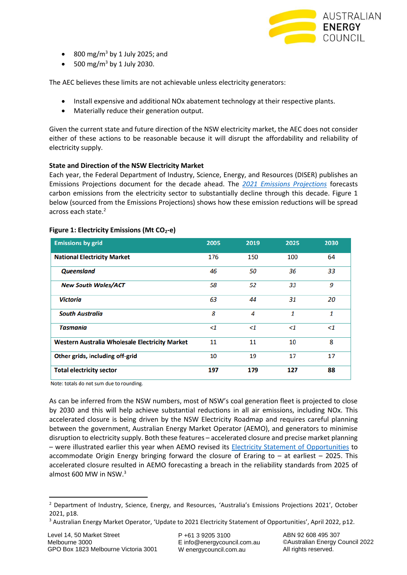

- 800 mg/m<sup>3</sup> by 1 July 2025; and
- 500 mg/m<sup>3</sup> by 1 July 2030.

The AEC believes these limits are not achievable unless electricity generators:

- Install expensive and additional NOx abatement technology at their respective plants.
- Materially reduce their generation output.

Given the current state and future direction of the NSW electricity market, the AEC does not consider either of these actions to be reasonable because it will disrupt the affordability and reliability of electricity supply.

### **State and Direction of the NSW Electricity Market**

Each year, the Federal Department of Industry, Science, Energy, and Resources (DISER) publishes an Emissions Projections document for the decade ahead. The *[2021 Emissions Projections](https://www.industry.gov.au/sites/default/files/October%202021/document/australias_emissions_projections_2021_0.pdf)* forecasts carbon emissions from the electricity sector to substantially decline through this decade. Figure 1 below (sourced from the Emissions Projections) shows how these emission reductions will be spread across each state.<sup>2</sup>

| <b>Emissions by grid</b>                       | 2005     | 2019     | 2025     | 2030  |
|------------------------------------------------|----------|----------|----------|-------|
| <b>National Electricity Market</b>             | 176      | 150      | 100      | 64    |
| <b>Queensland</b>                              | 46       | 50       | 36       | 33    |
| <b>New South Wales/ACT</b>                     | 58       | 52       | 33       | 9     |
| <b>Victoria</b>                                | 63       | 44       | 31       | 20    |
| <b>South Australia</b>                         | 8        | 4        | 1        | 1     |
| <b>Tasmania</b>                                | $\leq$ 1 | $\leq$ 1 | $\leq$ 1 | $<$ 1 |
| Western Australia Wholesale Electricity Market | 11       | 11       | 10       | 8     |
| Other grids, including off-grid                | 10       | 19       | 17       | 17    |
| <b>Total electricity sector</b>                | 197      | 179      | 127      | 88    |

#### **Figure 1: Electricity Emissions (Mt CO2-e)**

Note: totals do not sum due to rounding.

As can be inferred from the NSW numbers, most of NSW's coal generation fleet is projected to close by 2030 and this will help achieve substantial reductions in all air emissions, including NOx. This accelerated closure is being driven by the NSW Electricity Roadmap and requires careful planning between the government, Australian Energy Market Operator (AEMO), and generators to minimise disruption to electricity supply. Both these features – accelerated closure and precise market planning – were illustrated earlier this year when AEMO revised its [Electricity Statement of Opportunities](https://aemo.com.au/-/media/files/electricity/nem/planning_and_forecasting/nem_esoo/2022/update-to-2021-electricity-statement-of-opportunities.pdf?la=en) to accommodate Origin Energy bringing forward the closure of Eraring to  $-$  at earliest  $-$  2025. This accelerated closure resulted in AEMO forecasting a breach in the reliability standards from 2025 of almost 600 MW in NSW.<sup>3</sup>

P +61 3 9205 3100 E info@energycouncil.com.au W energycouncil.com.au

ABN 92 608 495 307 ©Australian Energy Council 2022 All rights reserved.

<sup>&</sup>lt;sup>2</sup> Department of Industry, Science, Energy, and Resources, 'Australia's Emissions Projections 2021', October 2021, p18.

<sup>&</sup>lt;sup>3</sup> Australian Energy Market Operator, 'Update to 2021 Electricity Statement of Opportunities', April 2022, p12.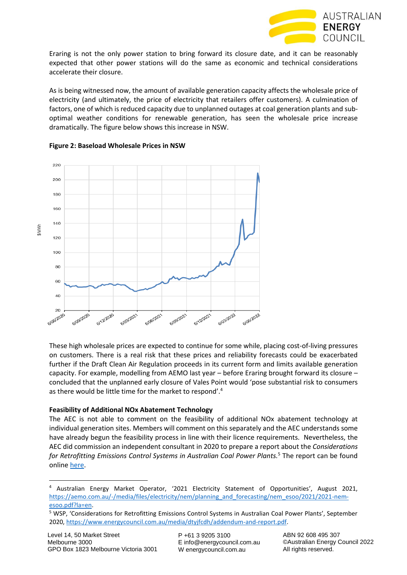

Eraring is not the only power station to bring forward its closure date, and it can be reasonably expected that other power stations will do the same as economic and technical considerations accelerate their closure.

As is being witnessed now, the amount of available generation capacity affects the wholesale price of electricity (and ultimately, the price of electricity that retailers offer customers). A culmination of factors, one of which is reduced capacity due to unplanned outages at coal generation plants and suboptimal weather conditions for renewable generation, has seen the wholesale price increase dramatically. The figure below shows this increase in NSW.



# **Figure 2: Baseload Wholesale Prices in NSW**

These high wholesale prices are expected to continue for some while, placing cost-of-living pressures on customers. There is a real risk that these prices and reliability forecasts could be exacerbated further if the Draft Clean Air Regulation proceeds in its current form and limits available generation capacity. For example, modelling from AEMO last year – before Eraring brought forward its closure – concluded that the unplanned early closure of Vales Point would 'pose substantial risk to consumers as there would be little time for the market to respond'.<sup>4</sup>

# **Feasibility of Additional NOx Abatement Technology**

The AEC is not able to comment on the feasibility of additional NOx abatement technology at individual generation sites. Members will comment on this separately and the AEC understands some have already begun the feasibility process in line with their licence requirements. Nevertheless, the AEC did commission an independent consultant in 2020 to prepare a report about the *Considerations for Retrofitting Emissions Control Systems in Australian Coal Power Plants.*<sup>5</sup> The report can be found online [here.](https://www.energycouncil.com.au/media/dtyjfcdh/addendum-and-report.pdf)

P +61 3 9205 3100 E info@energycouncil.com.au W energycouncil.com.au

<sup>4</sup> Australian Energy Market Operator, '2021 Electricity Statement of Opportunities', August 2021, [https://aemo.com.au/-/media/files/electricity/nem/planning\\_and\\_forecasting/nem\\_esoo/2021/2021-nem](https://aemo.com.au/-/media/files/electricity/nem/planning_and_forecasting/nem_esoo/2021/2021-nem-esoo.pdf?la=en)[esoo.pdf?la=en.](https://aemo.com.au/-/media/files/electricity/nem/planning_and_forecasting/nem_esoo/2021/2021-nem-esoo.pdf?la=en) 

<sup>5</sup> WSP, 'Considerations for Retrofitting Emissions Control Systems in Australian Coal Power Plants', September 2020, [https://www.energycouncil.com.au/media/dtyjfcdh/addendum-and-report.pdf.](https://www.energycouncil.com.au/media/dtyjfcdh/addendum-and-report.pdf)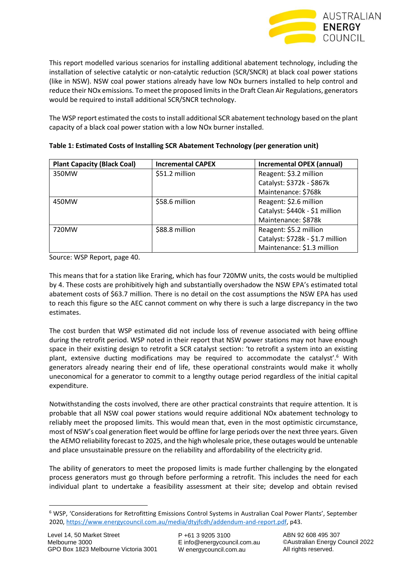

This report modelled various scenarios for installing additional abatement technology, including the installation of selective catalytic or non-catalytic reduction (SCR/SNCR) at black coal power stations (like in NSW). NSW coal power stations already have low NOx burners installed to help control and reduce their NOx emissions. To meet the proposed limits in the Draft Clean Air Regulations, generators would be required to install additional SCR/SNCR technology.

The WSP report estimated the costs to install additional SCR abatement technology based on the plant capacity of a black coal power station with a low NOx burner installed.

| <b>Plant Capacity (Black Coal)</b> | <b>Incremental CAPEX</b> | <b>Incremental OPEX (annual)</b> |
|------------------------------------|--------------------------|----------------------------------|
| 350MW                              | \$51.2 million           | Reagent: \$3.2 million           |
|                                    |                          | Catalyst: \$372k - \$867k        |
|                                    |                          | Maintenance: \$768k              |
| 450MW                              | \$58.6 million           | Reagent: \$2.6 million           |
|                                    |                          | Catalyst: \$440k - \$1 million   |
|                                    |                          | Maintenance: \$878k              |
| 720MW                              | \$88.8 million           | Reagent: \$5.2 million           |
|                                    |                          | Catalyst: \$728k - \$1.7 million |
|                                    |                          | Maintenance: \$1.3 million       |

| Table 1: Estimated Costs of Installing SCR Abatement Technology (per generation unit) |  |
|---------------------------------------------------------------------------------------|--|
|---------------------------------------------------------------------------------------|--|

Source: WSP Report, page 40.

This means that for a station like Eraring, which has four 720MW units, the costs would be multiplied by 4. These costs are prohibitively high and substantially overshadow the NSW EPA's estimated total abatement costs of \$63.7 million. There is no detail on the cost assumptions the NSW EPA has used to reach this figure so the AEC cannot comment on why there is such a large discrepancy in the two estimates.

The cost burden that WSP estimated did not include loss of revenue associated with being offline during the retrofit period. WSP noted in their report that NSW power stations may not have enough space in their existing design to retrofit a SCR catalyst section: 'to retrofit a system into an existing plant, extensive ducting modifications may be required to accommodate the catalyst'.<sup>6</sup> With generators already nearing their end of life, these operational constraints would make it wholly uneconomical for a generator to commit to a lengthy outage period regardless of the initial capital expenditure.

Notwithstanding the costs involved, there are other practical constraints that require attention. It is probable that all NSW coal power stations would require additional NOx abatement technology to reliably meet the proposed limits. This would mean that, even in the most optimistic circumstance, most of NSW's coal generation fleet would be offline for large periods over the next three years. Given the AEMO reliability forecast to 2025, and the high wholesale price, these outages would be untenable and place unsustainable pressure on the reliability and affordability of the electricity grid.

The ability of generators to meet the proposed limits is made further challenging by the elongated process generators must go through before performing a retrofit. This includes the need for each individual plant to undertake a feasibility assessment at their site; develop and obtain revised

<sup>6</sup> WSP, 'Considerations for Retrofitting Emissions Control Systems in Australian Coal Power Plants', September 2020, [https://www.energycouncil.com.au/media/dtyjfcdh/addendum-and-report.pdf,](https://www.energycouncil.com.au/media/dtyjfcdh/addendum-and-report.pdf) p43.